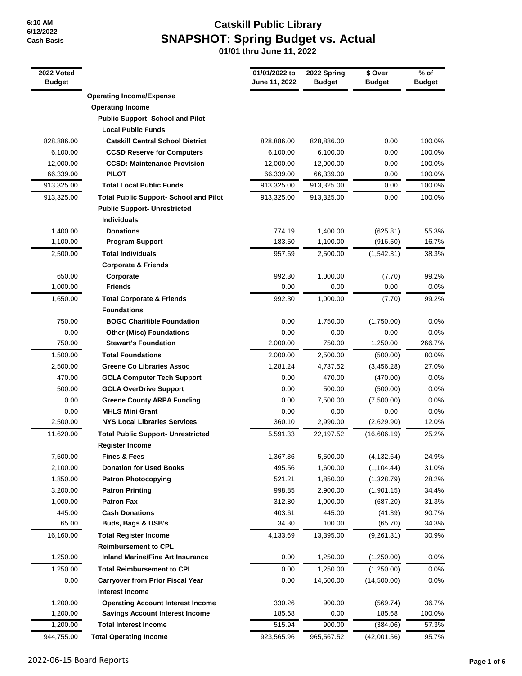# **Catskill Public Library SNAPSHOT: Spring Budget vs. Actual**

| <b>Operating Income/Expense</b><br><b>Operating Income</b><br><b>Public Support- School and Pilot</b><br><b>Local Public Funds</b><br>828,886.00<br><b>Catskill Central School District</b><br>828,886.00<br>828,886.00<br>0.00<br>0.00<br>6,100.00<br><b>CCSD Reserve for Computers</b><br>6,100.00<br>6,100.00<br>12,000.00<br><b>CCSD: Maintenance Provision</b><br>12,000.00<br>12,000.00<br>0.00<br>66,339.00<br><b>PILOT</b><br>66,339.00<br>66,339.00<br>0.00<br><b>Total Local Public Funds</b><br>913,325.00<br>913,325.00<br>913,325.00<br>0.00<br>913,325.00<br><b>Total Public Support- School and Pilot</b><br>913,325.00<br>913,325.00<br>0.00<br><b>Public Support- Unrestricted</b><br><b>Individuals</b><br>1,400.00<br><b>Donations</b><br>774.19<br>1,400.00<br>(625.81)<br>1,100.00<br><b>Program Support</b><br>183.50<br>1,100.00<br>(916.50)<br><b>Total Individuals</b><br>2,500.00<br>957.69<br>2,500.00<br>(1,542.31)<br><b>Corporate &amp; Friends</b><br>650.00<br>992.30<br>1,000.00<br>(7.70)<br>Corporate<br>1,000.00<br><b>Friends</b><br>0.00<br>0.00<br>0.00<br>992.30<br>1,650.00<br><b>Total Corporate &amp; Friends</b><br>1,000.00<br>(7.70)<br><b>Foundations</b><br><b>BOGC Charitible Foundation</b><br>750.00<br>0.00<br>1,750.00<br>(1,750.00)<br>0.00<br><b>Other (Misc) Foundations</b><br>0.00<br>0.00<br>0.00<br>750.00<br><b>Stewart's Foundation</b><br>2,000.00<br>750.00<br>1,250.00<br>2,000.00<br>1,500.00<br><b>Total Foundations</b><br>2,500.00<br>(500.00)<br>1,281.24<br>2,500.00<br><b>Greene Co Libraries Assoc</b><br>4,737.52<br>(3,456.28)<br>470.00<br><b>GCLA Computer Tech Support</b><br>0.00<br>470.00<br>(470.00)<br>500.00<br><b>GCLA OverDrive Support</b><br>0.00<br>500.00<br>(500.00)<br>0.00<br><b>Greene County ARPA Funding</b><br>0.00<br>7,500.00<br>(7,500.00)<br><b>MHLS Mini Grant</b><br>0.00<br>0.00<br>0.00<br>0.00<br>2,500.00<br><b>NYS Local Libraries Services</b><br>360.10<br>2,990.00<br>(2,629.90)<br><b>Total Public Support- Unrestricted</b><br>11,620.00<br>5,591.33<br>22,197.52<br>(16,606.19)<br><b>Register Income</b><br>7,500.00<br><b>Fines &amp; Fees</b><br>1,367.36<br>5,500.00<br>(4, 132.64)<br>24.9%<br><b>Donation for Used Books</b><br>495.56<br>2,100.00<br>1,600.00<br>(1, 104.44)<br>28.2%<br>1,850.00<br><b>Patron Photocopying</b><br>521.21<br>1,850.00<br>(1,328.79)<br><b>Patron Printing</b><br>3,200.00<br>998.85<br>2,900.00<br>(1,901.15)<br>1,000.00<br><b>Patron Fax</b><br>312.80<br>1,000.00<br>31.3%<br>(687.20)<br>445.00<br><b>Cash Donations</b><br>403.61<br>445.00<br>(41.39)<br>65.00<br><b>Buds, Bags &amp; USB's</b><br>34.30<br>100.00<br>(65.70)<br>16,160.00<br>4,133.69<br>13,395.00<br>(9,261.31)<br>30.9%<br><b>Total Register Income</b><br><b>Reimbursement to CPL</b><br>1,250.00<br><b>Inland Marine/Fine Art Insurance</b><br>0.00<br>1,250.00<br>(1,250.00)<br>1,250.00<br><b>Total Reimbursement to CPL</b><br>0.00<br>1,250.00<br>(1,250.00)<br>0.0%<br>0.00<br><b>Carryover from Prior Fiscal Year</b><br>0.00<br>14,500.00<br>(14,500.00)<br>0.0%<br><b>Interest Income</b><br>1,200.00<br><b>Operating Account Interest Income</b><br>330.26<br>900.00<br>(569.74)<br>36.7%<br>1,200.00<br><b>Savings Account Interest Income</b><br>185.68<br>0.00<br>185.68<br>100.0%<br>515.94<br>900.00<br>1,200.00<br><b>Total Interest Income</b><br>(384.06)<br>57.3%<br>944,755.00<br><b>Total Operating Income</b><br>923,565.96<br>(42,001.56)<br>95.7%<br>965,567.52 | 2022 Voted<br><b>Budget</b> | 01/01/2022 to<br>June 11, 2022 | 2022 Spring<br><b>Budget</b> | \$ Over<br><b>Budget</b> | $%$ of<br><b>Budget</b> |
|----------------------------------------------------------------------------------------------------------------------------------------------------------------------------------------------------------------------------------------------------------------------------------------------------------------------------------------------------------------------------------------------------------------------------------------------------------------------------------------------------------------------------------------------------------------------------------------------------------------------------------------------------------------------------------------------------------------------------------------------------------------------------------------------------------------------------------------------------------------------------------------------------------------------------------------------------------------------------------------------------------------------------------------------------------------------------------------------------------------------------------------------------------------------------------------------------------------------------------------------------------------------------------------------------------------------------------------------------------------------------------------------------------------------------------------------------------------------------------------------------------------------------------------------------------------------------------------------------------------------------------------------------------------------------------------------------------------------------------------------------------------------------------------------------------------------------------------------------------------------------------------------------------------------------------------------------------------------------------------------------------------------------------------------------------------------------------------------------------------------------------------------------------------------------------------------------------------------------------------------------------------------------------------------------------------------------------------------------------------------------------------------------------------------------------------------------------------------------------------------------------------------------------------------------------------------------------------------------------------------------------------------------------------------------------------------------------------------------------------------------------------------------------------------------------------------------------------------------------------------------------------------------------------------------------------------------------------------------------------------------------------------------------------------------------------------------------------------------------------------------------------------------------------------------------------------------------------------------------------------------------------------------------------------------------------------------------------------------------------------------------------------------------------------------------------------------------------------------------------------------------------------------|-----------------------------|--------------------------------|------------------------------|--------------------------|-------------------------|
|                                                                                                                                                                                                                                                                                                                                                                                                                                                                                                                                                                                                                                                                                                                                                                                                                                                                                                                                                                                                                                                                                                                                                                                                                                                                                                                                                                                                                                                                                                                                                                                                                                                                                                                                                                                                                                                                                                                                                                                                                                                                                                                                                                                                                                                                                                                                                                                                                                                                                                                                                                                                                                                                                                                                                                                                                                                                                                                                                                                                                                                                                                                                                                                                                                                                                                                                                                                                                                                                                                                            |                             |                                |                              |                          |                         |
|                                                                                                                                                                                                                                                                                                                                                                                                                                                                                                                                                                                                                                                                                                                                                                                                                                                                                                                                                                                                                                                                                                                                                                                                                                                                                                                                                                                                                                                                                                                                                                                                                                                                                                                                                                                                                                                                                                                                                                                                                                                                                                                                                                                                                                                                                                                                                                                                                                                                                                                                                                                                                                                                                                                                                                                                                                                                                                                                                                                                                                                                                                                                                                                                                                                                                                                                                                                                                                                                                                                            |                             |                                |                              |                          |                         |
|                                                                                                                                                                                                                                                                                                                                                                                                                                                                                                                                                                                                                                                                                                                                                                                                                                                                                                                                                                                                                                                                                                                                                                                                                                                                                                                                                                                                                                                                                                                                                                                                                                                                                                                                                                                                                                                                                                                                                                                                                                                                                                                                                                                                                                                                                                                                                                                                                                                                                                                                                                                                                                                                                                                                                                                                                                                                                                                                                                                                                                                                                                                                                                                                                                                                                                                                                                                                                                                                                                                            |                             |                                |                              |                          |                         |
|                                                                                                                                                                                                                                                                                                                                                                                                                                                                                                                                                                                                                                                                                                                                                                                                                                                                                                                                                                                                                                                                                                                                                                                                                                                                                                                                                                                                                                                                                                                                                                                                                                                                                                                                                                                                                                                                                                                                                                                                                                                                                                                                                                                                                                                                                                                                                                                                                                                                                                                                                                                                                                                                                                                                                                                                                                                                                                                                                                                                                                                                                                                                                                                                                                                                                                                                                                                                                                                                                                                            |                             |                                |                              |                          |                         |
|                                                                                                                                                                                                                                                                                                                                                                                                                                                                                                                                                                                                                                                                                                                                                                                                                                                                                                                                                                                                                                                                                                                                                                                                                                                                                                                                                                                                                                                                                                                                                                                                                                                                                                                                                                                                                                                                                                                                                                                                                                                                                                                                                                                                                                                                                                                                                                                                                                                                                                                                                                                                                                                                                                                                                                                                                                                                                                                                                                                                                                                                                                                                                                                                                                                                                                                                                                                                                                                                                                                            |                             |                                |                              |                          | 100.0%                  |
|                                                                                                                                                                                                                                                                                                                                                                                                                                                                                                                                                                                                                                                                                                                                                                                                                                                                                                                                                                                                                                                                                                                                                                                                                                                                                                                                                                                                                                                                                                                                                                                                                                                                                                                                                                                                                                                                                                                                                                                                                                                                                                                                                                                                                                                                                                                                                                                                                                                                                                                                                                                                                                                                                                                                                                                                                                                                                                                                                                                                                                                                                                                                                                                                                                                                                                                                                                                                                                                                                                                            |                             |                                |                              |                          | 100.0%                  |
|                                                                                                                                                                                                                                                                                                                                                                                                                                                                                                                                                                                                                                                                                                                                                                                                                                                                                                                                                                                                                                                                                                                                                                                                                                                                                                                                                                                                                                                                                                                                                                                                                                                                                                                                                                                                                                                                                                                                                                                                                                                                                                                                                                                                                                                                                                                                                                                                                                                                                                                                                                                                                                                                                                                                                                                                                                                                                                                                                                                                                                                                                                                                                                                                                                                                                                                                                                                                                                                                                                                            |                             |                                |                              |                          | 100.0%                  |
|                                                                                                                                                                                                                                                                                                                                                                                                                                                                                                                                                                                                                                                                                                                                                                                                                                                                                                                                                                                                                                                                                                                                                                                                                                                                                                                                                                                                                                                                                                                                                                                                                                                                                                                                                                                                                                                                                                                                                                                                                                                                                                                                                                                                                                                                                                                                                                                                                                                                                                                                                                                                                                                                                                                                                                                                                                                                                                                                                                                                                                                                                                                                                                                                                                                                                                                                                                                                                                                                                                                            |                             |                                |                              |                          | 100.0%                  |
|                                                                                                                                                                                                                                                                                                                                                                                                                                                                                                                                                                                                                                                                                                                                                                                                                                                                                                                                                                                                                                                                                                                                                                                                                                                                                                                                                                                                                                                                                                                                                                                                                                                                                                                                                                                                                                                                                                                                                                                                                                                                                                                                                                                                                                                                                                                                                                                                                                                                                                                                                                                                                                                                                                                                                                                                                                                                                                                                                                                                                                                                                                                                                                                                                                                                                                                                                                                                                                                                                                                            |                             |                                |                              |                          | 100.0%                  |
|                                                                                                                                                                                                                                                                                                                                                                                                                                                                                                                                                                                                                                                                                                                                                                                                                                                                                                                                                                                                                                                                                                                                                                                                                                                                                                                                                                                                                                                                                                                                                                                                                                                                                                                                                                                                                                                                                                                                                                                                                                                                                                                                                                                                                                                                                                                                                                                                                                                                                                                                                                                                                                                                                                                                                                                                                                                                                                                                                                                                                                                                                                                                                                                                                                                                                                                                                                                                                                                                                                                            |                             |                                |                              |                          | 100.0%                  |
|                                                                                                                                                                                                                                                                                                                                                                                                                                                                                                                                                                                                                                                                                                                                                                                                                                                                                                                                                                                                                                                                                                                                                                                                                                                                                                                                                                                                                                                                                                                                                                                                                                                                                                                                                                                                                                                                                                                                                                                                                                                                                                                                                                                                                                                                                                                                                                                                                                                                                                                                                                                                                                                                                                                                                                                                                                                                                                                                                                                                                                                                                                                                                                                                                                                                                                                                                                                                                                                                                                                            |                             |                                |                              |                          |                         |
|                                                                                                                                                                                                                                                                                                                                                                                                                                                                                                                                                                                                                                                                                                                                                                                                                                                                                                                                                                                                                                                                                                                                                                                                                                                                                                                                                                                                                                                                                                                                                                                                                                                                                                                                                                                                                                                                                                                                                                                                                                                                                                                                                                                                                                                                                                                                                                                                                                                                                                                                                                                                                                                                                                                                                                                                                                                                                                                                                                                                                                                                                                                                                                                                                                                                                                                                                                                                                                                                                                                            |                             |                                |                              |                          |                         |
|                                                                                                                                                                                                                                                                                                                                                                                                                                                                                                                                                                                                                                                                                                                                                                                                                                                                                                                                                                                                                                                                                                                                                                                                                                                                                                                                                                                                                                                                                                                                                                                                                                                                                                                                                                                                                                                                                                                                                                                                                                                                                                                                                                                                                                                                                                                                                                                                                                                                                                                                                                                                                                                                                                                                                                                                                                                                                                                                                                                                                                                                                                                                                                                                                                                                                                                                                                                                                                                                                                                            |                             |                                |                              |                          | 55.3%                   |
|                                                                                                                                                                                                                                                                                                                                                                                                                                                                                                                                                                                                                                                                                                                                                                                                                                                                                                                                                                                                                                                                                                                                                                                                                                                                                                                                                                                                                                                                                                                                                                                                                                                                                                                                                                                                                                                                                                                                                                                                                                                                                                                                                                                                                                                                                                                                                                                                                                                                                                                                                                                                                                                                                                                                                                                                                                                                                                                                                                                                                                                                                                                                                                                                                                                                                                                                                                                                                                                                                                                            |                             |                                |                              |                          | 16.7%                   |
|                                                                                                                                                                                                                                                                                                                                                                                                                                                                                                                                                                                                                                                                                                                                                                                                                                                                                                                                                                                                                                                                                                                                                                                                                                                                                                                                                                                                                                                                                                                                                                                                                                                                                                                                                                                                                                                                                                                                                                                                                                                                                                                                                                                                                                                                                                                                                                                                                                                                                                                                                                                                                                                                                                                                                                                                                                                                                                                                                                                                                                                                                                                                                                                                                                                                                                                                                                                                                                                                                                                            |                             |                                |                              |                          | 38.3%                   |
|                                                                                                                                                                                                                                                                                                                                                                                                                                                                                                                                                                                                                                                                                                                                                                                                                                                                                                                                                                                                                                                                                                                                                                                                                                                                                                                                                                                                                                                                                                                                                                                                                                                                                                                                                                                                                                                                                                                                                                                                                                                                                                                                                                                                                                                                                                                                                                                                                                                                                                                                                                                                                                                                                                                                                                                                                                                                                                                                                                                                                                                                                                                                                                                                                                                                                                                                                                                                                                                                                                                            |                             |                                |                              |                          |                         |
|                                                                                                                                                                                                                                                                                                                                                                                                                                                                                                                                                                                                                                                                                                                                                                                                                                                                                                                                                                                                                                                                                                                                                                                                                                                                                                                                                                                                                                                                                                                                                                                                                                                                                                                                                                                                                                                                                                                                                                                                                                                                                                                                                                                                                                                                                                                                                                                                                                                                                                                                                                                                                                                                                                                                                                                                                                                                                                                                                                                                                                                                                                                                                                                                                                                                                                                                                                                                                                                                                                                            |                             |                                |                              |                          | 99.2%                   |
|                                                                                                                                                                                                                                                                                                                                                                                                                                                                                                                                                                                                                                                                                                                                                                                                                                                                                                                                                                                                                                                                                                                                                                                                                                                                                                                                                                                                                                                                                                                                                                                                                                                                                                                                                                                                                                                                                                                                                                                                                                                                                                                                                                                                                                                                                                                                                                                                                                                                                                                                                                                                                                                                                                                                                                                                                                                                                                                                                                                                                                                                                                                                                                                                                                                                                                                                                                                                                                                                                                                            |                             |                                |                              |                          | 0.0%                    |
|                                                                                                                                                                                                                                                                                                                                                                                                                                                                                                                                                                                                                                                                                                                                                                                                                                                                                                                                                                                                                                                                                                                                                                                                                                                                                                                                                                                                                                                                                                                                                                                                                                                                                                                                                                                                                                                                                                                                                                                                                                                                                                                                                                                                                                                                                                                                                                                                                                                                                                                                                                                                                                                                                                                                                                                                                                                                                                                                                                                                                                                                                                                                                                                                                                                                                                                                                                                                                                                                                                                            |                             |                                |                              |                          | 99.2%                   |
|                                                                                                                                                                                                                                                                                                                                                                                                                                                                                                                                                                                                                                                                                                                                                                                                                                                                                                                                                                                                                                                                                                                                                                                                                                                                                                                                                                                                                                                                                                                                                                                                                                                                                                                                                                                                                                                                                                                                                                                                                                                                                                                                                                                                                                                                                                                                                                                                                                                                                                                                                                                                                                                                                                                                                                                                                                                                                                                                                                                                                                                                                                                                                                                                                                                                                                                                                                                                                                                                                                                            |                             |                                |                              |                          |                         |
|                                                                                                                                                                                                                                                                                                                                                                                                                                                                                                                                                                                                                                                                                                                                                                                                                                                                                                                                                                                                                                                                                                                                                                                                                                                                                                                                                                                                                                                                                                                                                                                                                                                                                                                                                                                                                                                                                                                                                                                                                                                                                                                                                                                                                                                                                                                                                                                                                                                                                                                                                                                                                                                                                                                                                                                                                                                                                                                                                                                                                                                                                                                                                                                                                                                                                                                                                                                                                                                                                                                            |                             |                                |                              |                          | 0.0%                    |
|                                                                                                                                                                                                                                                                                                                                                                                                                                                                                                                                                                                                                                                                                                                                                                                                                                                                                                                                                                                                                                                                                                                                                                                                                                                                                                                                                                                                                                                                                                                                                                                                                                                                                                                                                                                                                                                                                                                                                                                                                                                                                                                                                                                                                                                                                                                                                                                                                                                                                                                                                                                                                                                                                                                                                                                                                                                                                                                                                                                                                                                                                                                                                                                                                                                                                                                                                                                                                                                                                                                            |                             |                                |                              |                          | 0.0%                    |
|                                                                                                                                                                                                                                                                                                                                                                                                                                                                                                                                                                                                                                                                                                                                                                                                                                                                                                                                                                                                                                                                                                                                                                                                                                                                                                                                                                                                                                                                                                                                                                                                                                                                                                                                                                                                                                                                                                                                                                                                                                                                                                                                                                                                                                                                                                                                                                                                                                                                                                                                                                                                                                                                                                                                                                                                                                                                                                                                                                                                                                                                                                                                                                                                                                                                                                                                                                                                                                                                                                                            |                             |                                |                              |                          | 266.7%                  |
|                                                                                                                                                                                                                                                                                                                                                                                                                                                                                                                                                                                                                                                                                                                                                                                                                                                                                                                                                                                                                                                                                                                                                                                                                                                                                                                                                                                                                                                                                                                                                                                                                                                                                                                                                                                                                                                                                                                                                                                                                                                                                                                                                                                                                                                                                                                                                                                                                                                                                                                                                                                                                                                                                                                                                                                                                                                                                                                                                                                                                                                                                                                                                                                                                                                                                                                                                                                                                                                                                                                            |                             |                                |                              |                          | 80.0%                   |
|                                                                                                                                                                                                                                                                                                                                                                                                                                                                                                                                                                                                                                                                                                                                                                                                                                                                                                                                                                                                                                                                                                                                                                                                                                                                                                                                                                                                                                                                                                                                                                                                                                                                                                                                                                                                                                                                                                                                                                                                                                                                                                                                                                                                                                                                                                                                                                                                                                                                                                                                                                                                                                                                                                                                                                                                                                                                                                                                                                                                                                                                                                                                                                                                                                                                                                                                                                                                                                                                                                                            |                             |                                |                              |                          | 27.0%                   |
|                                                                                                                                                                                                                                                                                                                                                                                                                                                                                                                                                                                                                                                                                                                                                                                                                                                                                                                                                                                                                                                                                                                                                                                                                                                                                                                                                                                                                                                                                                                                                                                                                                                                                                                                                                                                                                                                                                                                                                                                                                                                                                                                                                                                                                                                                                                                                                                                                                                                                                                                                                                                                                                                                                                                                                                                                                                                                                                                                                                                                                                                                                                                                                                                                                                                                                                                                                                                                                                                                                                            |                             |                                |                              |                          | 0.0%                    |
|                                                                                                                                                                                                                                                                                                                                                                                                                                                                                                                                                                                                                                                                                                                                                                                                                                                                                                                                                                                                                                                                                                                                                                                                                                                                                                                                                                                                                                                                                                                                                                                                                                                                                                                                                                                                                                                                                                                                                                                                                                                                                                                                                                                                                                                                                                                                                                                                                                                                                                                                                                                                                                                                                                                                                                                                                                                                                                                                                                                                                                                                                                                                                                                                                                                                                                                                                                                                                                                                                                                            |                             |                                |                              |                          | 0.0%                    |
|                                                                                                                                                                                                                                                                                                                                                                                                                                                                                                                                                                                                                                                                                                                                                                                                                                                                                                                                                                                                                                                                                                                                                                                                                                                                                                                                                                                                                                                                                                                                                                                                                                                                                                                                                                                                                                                                                                                                                                                                                                                                                                                                                                                                                                                                                                                                                                                                                                                                                                                                                                                                                                                                                                                                                                                                                                                                                                                                                                                                                                                                                                                                                                                                                                                                                                                                                                                                                                                                                                                            |                             |                                |                              |                          | 0.0%                    |
|                                                                                                                                                                                                                                                                                                                                                                                                                                                                                                                                                                                                                                                                                                                                                                                                                                                                                                                                                                                                                                                                                                                                                                                                                                                                                                                                                                                                                                                                                                                                                                                                                                                                                                                                                                                                                                                                                                                                                                                                                                                                                                                                                                                                                                                                                                                                                                                                                                                                                                                                                                                                                                                                                                                                                                                                                                                                                                                                                                                                                                                                                                                                                                                                                                                                                                                                                                                                                                                                                                                            |                             |                                |                              |                          | 0.0%                    |
|                                                                                                                                                                                                                                                                                                                                                                                                                                                                                                                                                                                                                                                                                                                                                                                                                                                                                                                                                                                                                                                                                                                                                                                                                                                                                                                                                                                                                                                                                                                                                                                                                                                                                                                                                                                                                                                                                                                                                                                                                                                                                                                                                                                                                                                                                                                                                                                                                                                                                                                                                                                                                                                                                                                                                                                                                                                                                                                                                                                                                                                                                                                                                                                                                                                                                                                                                                                                                                                                                                                            |                             |                                |                              |                          | 12.0%                   |
|                                                                                                                                                                                                                                                                                                                                                                                                                                                                                                                                                                                                                                                                                                                                                                                                                                                                                                                                                                                                                                                                                                                                                                                                                                                                                                                                                                                                                                                                                                                                                                                                                                                                                                                                                                                                                                                                                                                                                                                                                                                                                                                                                                                                                                                                                                                                                                                                                                                                                                                                                                                                                                                                                                                                                                                                                                                                                                                                                                                                                                                                                                                                                                                                                                                                                                                                                                                                                                                                                                                            |                             |                                |                              |                          | 25.2%                   |
|                                                                                                                                                                                                                                                                                                                                                                                                                                                                                                                                                                                                                                                                                                                                                                                                                                                                                                                                                                                                                                                                                                                                                                                                                                                                                                                                                                                                                                                                                                                                                                                                                                                                                                                                                                                                                                                                                                                                                                                                                                                                                                                                                                                                                                                                                                                                                                                                                                                                                                                                                                                                                                                                                                                                                                                                                                                                                                                                                                                                                                                                                                                                                                                                                                                                                                                                                                                                                                                                                                                            |                             |                                |                              |                          |                         |
|                                                                                                                                                                                                                                                                                                                                                                                                                                                                                                                                                                                                                                                                                                                                                                                                                                                                                                                                                                                                                                                                                                                                                                                                                                                                                                                                                                                                                                                                                                                                                                                                                                                                                                                                                                                                                                                                                                                                                                                                                                                                                                                                                                                                                                                                                                                                                                                                                                                                                                                                                                                                                                                                                                                                                                                                                                                                                                                                                                                                                                                                                                                                                                                                                                                                                                                                                                                                                                                                                                                            |                             |                                |                              |                          |                         |
|                                                                                                                                                                                                                                                                                                                                                                                                                                                                                                                                                                                                                                                                                                                                                                                                                                                                                                                                                                                                                                                                                                                                                                                                                                                                                                                                                                                                                                                                                                                                                                                                                                                                                                                                                                                                                                                                                                                                                                                                                                                                                                                                                                                                                                                                                                                                                                                                                                                                                                                                                                                                                                                                                                                                                                                                                                                                                                                                                                                                                                                                                                                                                                                                                                                                                                                                                                                                                                                                                                                            |                             |                                |                              |                          | 31.0%                   |
|                                                                                                                                                                                                                                                                                                                                                                                                                                                                                                                                                                                                                                                                                                                                                                                                                                                                                                                                                                                                                                                                                                                                                                                                                                                                                                                                                                                                                                                                                                                                                                                                                                                                                                                                                                                                                                                                                                                                                                                                                                                                                                                                                                                                                                                                                                                                                                                                                                                                                                                                                                                                                                                                                                                                                                                                                                                                                                                                                                                                                                                                                                                                                                                                                                                                                                                                                                                                                                                                                                                            |                             |                                |                              |                          |                         |
|                                                                                                                                                                                                                                                                                                                                                                                                                                                                                                                                                                                                                                                                                                                                                                                                                                                                                                                                                                                                                                                                                                                                                                                                                                                                                                                                                                                                                                                                                                                                                                                                                                                                                                                                                                                                                                                                                                                                                                                                                                                                                                                                                                                                                                                                                                                                                                                                                                                                                                                                                                                                                                                                                                                                                                                                                                                                                                                                                                                                                                                                                                                                                                                                                                                                                                                                                                                                                                                                                                                            |                             |                                |                              |                          | 34.4%                   |
|                                                                                                                                                                                                                                                                                                                                                                                                                                                                                                                                                                                                                                                                                                                                                                                                                                                                                                                                                                                                                                                                                                                                                                                                                                                                                                                                                                                                                                                                                                                                                                                                                                                                                                                                                                                                                                                                                                                                                                                                                                                                                                                                                                                                                                                                                                                                                                                                                                                                                                                                                                                                                                                                                                                                                                                                                                                                                                                                                                                                                                                                                                                                                                                                                                                                                                                                                                                                                                                                                                                            |                             |                                |                              |                          |                         |
|                                                                                                                                                                                                                                                                                                                                                                                                                                                                                                                                                                                                                                                                                                                                                                                                                                                                                                                                                                                                                                                                                                                                                                                                                                                                                                                                                                                                                                                                                                                                                                                                                                                                                                                                                                                                                                                                                                                                                                                                                                                                                                                                                                                                                                                                                                                                                                                                                                                                                                                                                                                                                                                                                                                                                                                                                                                                                                                                                                                                                                                                                                                                                                                                                                                                                                                                                                                                                                                                                                                            |                             |                                |                              |                          | 90.7%                   |
|                                                                                                                                                                                                                                                                                                                                                                                                                                                                                                                                                                                                                                                                                                                                                                                                                                                                                                                                                                                                                                                                                                                                                                                                                                                                                                                                                                                                                                                                                                                                                                                                                                                                                                                                                                                                                                                                                                                                                                                                                                                                                                                                                                                                                                                                                                                                                                                                                                                                                                                                                                                                                                                                                                                                                                                                                                                                                                                                                                                                                                                                                                                                                                                                                                                                                                                                                                                                                                                                                                                            |                             |                                |                              |                          | 34.3%                   |
|                                                                                                                                                                                                                                                                                                                                                                                                                                                                                                                                                                                                                                                                                                                                                                                                                                                                                                                                                                                                                                                                                                                                                                                                                                                                                                                                                                                                                                                                                                                                                                                                                                                                                                                                                                                                                                                                                                                                                                                                                                                                                                                                                                                                                                                                                                                                                                                                                                                                                                                                                                                                                                                                                                                                                                                                                                                                                                                                                                                                                                                                                                                                                                                                                                                                                                                                                                                                                                                                                                                            |                             |                                |                              |                          |                         |
|                                                                                                                                                                                                                                                                                                                                                                                                                                                                                                                                                                                                                                                                                                                                                                                                                                                                                                                                                                                                                                                                                                                                                                                                                                                                                                                                                                                                                                                                                                                                                                                                                                                                                                                                                                                                                                                                                                                                                                                                                                                                                                                                                                                                                                                                                                                                                                                                                                                                                                                                                                                                                                                                                                                                                                                                                                                                                                                                                                                                                                                                                                                                                                                                                                                                                                                                                                                                                                                                                                                            |                             |                                |                              |                          |                         |
|                                                                                                                                                                                                                                                                                                                                                                                                                                                                                                                                                                                                                                                                                                                                                                                                                                                                                                                                                                                                                                                                                                                                                                                                                                                                                                                                                                                                                                                                                                                                                                                                                                                                                                                                                                                                                                                                                                                                                                                                                                                                                                                                                                                                                                                                                                                                                                                                                                                                                                                                                                                                                                                                                                                                                                                                                                                                                                                                                                                                                                                                                                                                                                                                                                                                                                                                                                                                                                                                                                                            |                             |                                |                              |                          | 0.0%                    |
|                                                                                                                                                                                                                                                                                                                                                                                                                                                                                                                                                                                                                                                                                                                                                                                                                                                                                                                                                                                                                                                                                                                                                                                                                                                                                                                                                                                                                                                                                                                                                                                                                                                                                                                                                                                                                                                                                                                                                                                                                                                                                                                                                                                                                                                                                                                                                                                                                                                                                                                                                                                                                                                                                                                                                                                                                                                                                                                                                                                                                                                                                                                                                                                                                                                                                                                                                                                                                                                                                                                            |                             |                                |                              |                          |                         |
|                                                                                                                                                                                                                                                                                                                                                                                                                                                                                                                                                                                                                                                                                                                                                                                                                                                                                                                                                                                                                                                                                                                                                                                                                                                                                                                                                                                                                                                                                                                                                                                                                                                                                                                                                                                                                                                                                                                                                                                                                                                                                                                                                                                                                                                                                                                                                                                                                                                                                                                                                                                                                                                                                                                                                                                                                                                                                                                                                                                                                                                                                                                                                                                                                                                                                                                                                                                                                                                                                                                            |                             |                                |                              |                          |                         |
|                                                                                                                                                                                                                                                                                                                                                                                                                                                                                                                                                                                                                                                                                                                                                                                                                                                                                                                                                                                                                                                                                                                                                                                                                                                                                                                                                                                                                                                                                                                                                                                                                                                                                                                                                                                                                                                                                                                                                                                                                                                                                                                                                                                                                                                                                                                                                                                                                                                                                                                                                                                                                                                                                                                                                                                                                                                                                                                                                                                                                                                                                                                                                                                                                                                                                                                                                                                                                                                                                                                            |                             |                                |                              |                          |                         |
|                                                                                                                                                                                                                                                                                                                                                                                                                                                                                                                                                                                                                                                                                                                                                                                                                                                                                                                                                                                                                                                                                                                                                                                                                                                                                                                                                                                                                                                                                                                                                                                                                                                                                                                                                                                                                                                                                                                                                                                                                                                                                                                                                                                                                                                                                                                                                                                                                                                                                                                                                                                                                                                                                                                                                                                                                                                                                                                                                                                                                                                                                                                                                                                                                                                                                                                                                                                                                                                                                                                            |                             |                                |                              |                          |                         |
|                                                                                                                                                                                                                                                                                                                                                                                                                                                                                                                                                                                                                                                                                                                                                                                                                                                                                                                                                                                                                                                                                                                                                                                                                                                                                                                                                                                                                                                                                                                                                                                                                                                                                                                                                                                                                                                                                                                                                                                                                                                                                                                                                                                                                                                                                                                                                                                                                                                                                                                                                                                                                                                                                                                                                                                                                                                                                                                                                                                                                                                                                                                                                                                                                                                                                                                                                                                                                                                                                                                            |                             |                                |                              |                          |                         |
|                                                                                                                                                                                                                                                                                                                                                                                                                                                                                                                                                                                                                                                                                                                                                                                                                                                                                                                                                                                                                                                                                                                                                                                                                                                                                                                                                                                                                                                                                                                                                                                                                                                                                                                                                                                                                                                                                                                                                                                                                                                                                                                                                                                                                                                                                                                                                                                                                                                                                                                                                                                                                                                                                                                                                                                                                                                                                                                                                                                                                                                                                                                                                                                                                                                                                                                                                                                                                                                                                                                            |                             |                                |                              |                          |                         |
|                                                                                                                                                                                                                                                                                                                                                                                                                                                                                                                                                                                                                                                                                                                                                                                                                                                                                                                                                                                                                                                                                                                                                                                                                                                                                                                                                                                                                                                                                                                                                                                                                                                                                                                                                                                                                                                                                                                                                                                                                                                                                                                                                                                                                                                                                                                                                                                                                                                                                                                                                                                                                                                                                                                                                                                                                                                                                                                                                                                                                                                                                                                                                                                                                                                                                                                                                                                                                                                                                                                            |                             |                                |                              |                          |                         |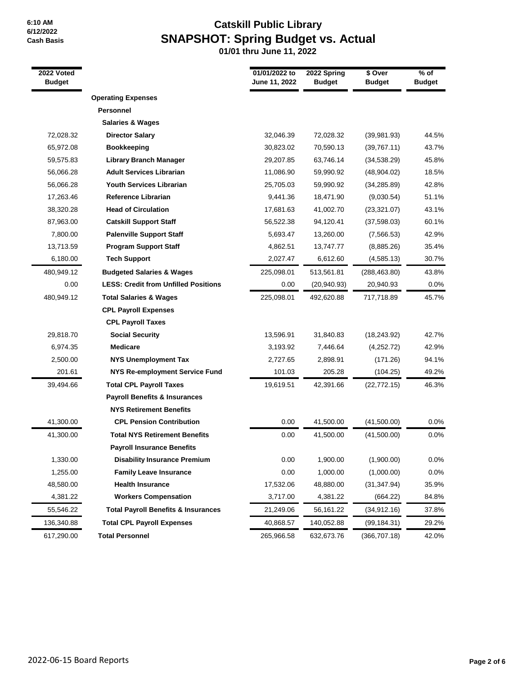## **Catskill Public Library SNAPSHOT: Spring Budget vs. Actual**

| 2022 Voted<br><b>Budget</b> |                                                | 01/01/2022 to<br>June 11, 2022 | 2022 Spring<br><b>Budget</b> | \$ Over<br><b>Budget</b> | $%$ of<br><b>Budget</b> |
|-----------------------------|------------------------------------------------|--------------------------------|------------------------------|--------------------------|-------------------------|
|                             | <b>Operating Expenses</b>                      |                                |                              |                          |                         |
|                             | <b>Personnel</b>                               |                                |                              |                          |                         |
|                             | <b>Salaries &amp; Wages</b>                    |                                |                              |                          |                         |
| 72,028.32                   | <b>Director Salary</b>                         | 32,046.39                      | 72,028.32                    | (39,981.93)              | 44.5%                   |
| 65,972.08                   | <b>Bookkeeping</b>                             | 30,823.02                      | 70,590.13                    | (39,767.11)              | 43.7%                   |
| 59,575.83                   | <b>Library Branch Manager</b>                  | 29,207.85                      | 63,746.14                    | (34, 538.29)             | 45.8%                   |
| 56,066.28                   | <b>Adult Services Librarian</b>                | 11,086.90                      | 59,990.92                    | (48,904.02)              | 18.5%                   |
| 56,066.28                   | Youth Services Librarian                       | 25,705.03                      | 59,990.92                    | (34, 285.89)             | 42.8%                   |
| 17,263.46                   | <b>Reference Librarian</b>                     | 9,441.36                       | 18,471.90                    | (9,030.54)               | 51.1%                   |
| 38,320.28                   | <b>Head of Circulation</b>                     | 17,681.63                      | 41,002.70                    | (23, 321.07)             | 43.1%                   |
| 87,963.00                   | <b>Catskill Support Staff</b>                  | 56,522.38                      | 94,120.41                    | (37, 598.03)             | 60.1%                   |
| 7,800.00                    | <b>Palenville Support Staff</b>                | 5,693.47                       | 13,260.00                    | (7,566.53)               | 42.9%                   |
| 13,713.59                   | <b>Program Support Staff</b>                   | 4,862.51                       | 13,747.77                    | (8,885.26)               | 35.4%                   |
| 6,180.00                    | <b>Tech Support</b>                            | 2,027.47                       | 6,612.60                     | (4, 585.13)              | 30.7%                   |
| 480,949.12                  | <b>Budgeted Salaries &amp; Wages</b>           | 225,098.01                     | 513,561.81                   | (288, 463.80)            | 43.8%                   |
| 0.00                        | <b>LESS: Credit from Unfilled Positions</b>    | 0.00                           | (20, 940.93)                 | 20,940.93                | 0.0%                    |
| 480,949.12                  | <b>Total Salaries &amp; Wages</b>              | 225,098.01                     | 492,620.88                   | 717,718.89               | 45.7%                   |
|                             | <b>CPL Payroll Expenses</b>                    |                                |                              |                          |                         |
|                             | <b>CPL Payroll Taxes</b>                       |                                |                              |                          |                         |
| 29,818.70                   | <b>Social Security</b>                         | 13,596.91                      | 31,840.83                    | (18, 243.92)             | 42.7%                   |
| 6,974.35                    | <b>Medicare</b>                                | 3,193.92                       | 7,446.64                     | (4,252.72)               | 42.9%                   |
| 2,500.00                    | <b>NYS Unemployment Tax</b>                    | 2,727.65                       | 2,898.91                     | (171.26)                 | 94.1%                   |
| 201.61                      | <b>NYS Re-employment Service Fund</b>          | 101.03                         | 205.28                       | (104.25)                 | 49.2%                   |
| 39,494.66                   | <b>Total CPL Payroll Taxes</b>                 | 19,619.51                      | 42,391.66                    | (22, 772.15)             | 46.3%                   |
|                             | <b>Payroll Benefits &amp; Insurances</b>       |                                |                              |                          |                         |
|                             | <b>NYS Retirement Benefits</b>                 |                                |                              |                          |                         |
| 41,300.00                   | <b>CPL Pension Contribution</b>                | 0.00                           | 41,500.00                    | (41,500.00)              | $0.0\%$                 |
| 41,300.00                   | <b>Total NYS Retirement Benefits</b>           | 0.00                           | 41,500.00                    | (41,500.00)              | 0.0%                    |
|                             | <b>Payroll Insurance Benefits</b>              |                                |                              |                          |                         |
| 1,330.00                    | <b>Disability Insurance Premium</b>            | 0.00                           | 1,900.00                     | (1,900.00)               | 0.0%                    |
| 1,255.00                    | <b>Family Leave Insurance</b>                  | 0.00                           | 1,000.00                     | (1,000.00)               | 0.0%                    |
| 48,580.00                   | <b>Health Insurance</b>                        | 17,532.06                      | 48,880.00                    | (31, 347.94)             | 35.9%                   |
| 4,381.22                    | <b>Workers Compensation</b>                    | 3,717.00                       | 4,381.22                     | (664.22)                 | 84.8%                   |
| 55,546.22                   | <b>Total Payroll Benefits &amp; Insurances</b> | 21,249.06                      | 56,161.22                    | (34,912.16)              | 37.8%                   |
| 136,340.88                  | <b>Total CPL Payroll Expenses</b>              | 40,868.57                      | 140,052.88                   | (99, 184.31)             | 29.2%                   |
| 617,290.00                  | <b>Total Personnel</b>                         | 265,966.58                     | 632,673.76                   | (366, 707.18)            | 42.0%                   |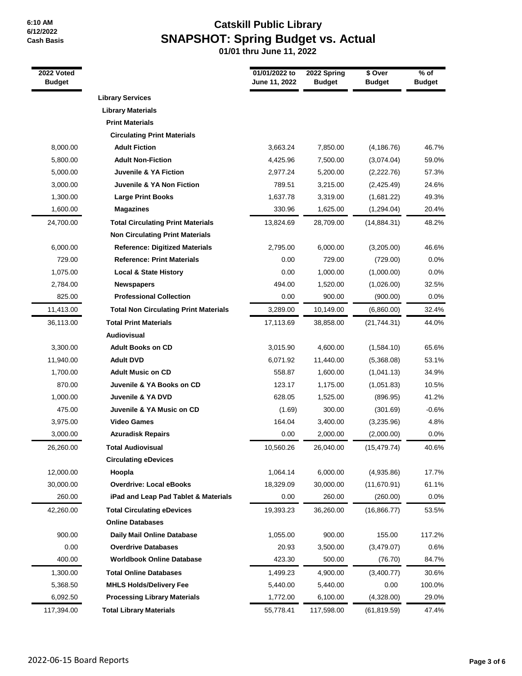## **Catskill Public Library SNAPSHOT: Spring Budget vs. Actual**

| 2022 Voted<br><b>Budget</b> |                                              | 01/01/2022 to<br>June 11, 2022 | 2022 Spring<br><b>Budget</b> | \$ Over<br><b>Budget</b> | $%$ of<br><b>Budget</b> |
|-----------------------------|----------------------------------------------|--------------------------------|------------------------------|--------------------------|-------------------------|
|                             | <b>Library Services</b>                      |                                |                              |                          |                         |
|                             | <b>Library Materials</b>                     |                                |                              |                          |                         |
|                             | <b>Print Materials</b>                       |                                |                              |                          |                         |
|                             | <b>Circulating Print Materials</b>           |                                |                              |                          |                         |
| 8,000.00                    | <b>Adult Fiction</b>                         | 3,663.24                       | 7,850.00                     | (4, 186.76)              | 46.7%                   |
| 5,800.00                    | <b>Adult Non-Fiction</b>                     | 4,425.96                       | 7,500.00                     | (3,074.04)               | 59.0%                   |
| 5,000.00                    | Juvenile & YA Fiction                        | 2,977.24                       | 5,200.00                     | (2,222.76)               | 57.3%                   |
| 3,000.00                    | Juvenile & YA Non Fiction                    | 789.51                         | 3,215.00                     | (2,425.49)               | 24.6%                   |
| 1,300.00                    | <b>Large Print Books</b>                     | 1,637.78                       | 3,319.00                     | (1,681.22)               | 49.3%                   |
| 1,600.00                    | <b>Magazines</b>                             | 330.96                         | 1,625.00                     | (1,294.04)               | 20.4%                   |
| 24,700.00                   | <b>Total Circulating Print Materials</b>     | 13,824.69                      | 28,709.00                    | (14,884.31)              | 48.2%                   |
|                             | <b>Non Circulating Print Materials</b>       |                                |                              |                          |                         |
| 6,000.00                    | <b>Reference: Digitized Materials</b>        | 2,795.00                       | 6,000.00                     | (3,205.00)               | 46.6%                   |
| 729.00                      | <b>Reference: Print Materials</b>            | 0.00                           | 729.00                       | (729.00)                 | 0.0%                    |
| 1,075.00                    | <b>Local &amp; State History</b>             | 0.00                           | 1,000.00                     | (1,000.00)               | 0.0%                    |
| 2,784.00                    | <b>Newspapers</b>                            | 494.00                         | 1,520.00                     | (1,026.00)               | 32.5%                   |
| 825.00                      | <b>Professional Collection</b>               | 0.00                           | 900.00                       | (900.00)                 | 0.0%                    |
| 11,413.00                   | <b>Total Non Circulating Print Materials</b> | 3,289.00                       | 10,149.00                    | (6,860.00)               | 32.4%                   |
| 36,113.00                   | <b>Total Print Materials</b>                 | 17,113.69                      | 38,858.00                    | (21, 744.31)             | 44.0%                   |
|                             | Audiovisual                                  |                                |                              |                          |                         |
| 3,300.00                    | <b>Adult Books on CD</b>                     | 3,015.90                       | 4,600.00                     | (1,584.10)               | 65.6%                   |
| 11,940.00                   | <b>Adult DVD</b>                             | 6,071.92                       | 11,440.00                    | (5,368.08)               | 53.1%                   |
| 1,700.00                    | <b>Adult Music on CD</b>                     | 558.87                         | 1,600.00                     | (1,041.13)               | 34.9%                   |
| 870.00                      | Juvenile & YA Books on CD                    | 123.17                         | 1,175.00                     | (1,051.83)               | 10.5%                   |
| 1,000.00                    | Juvenile & YA DVD                            | 628.05                         | 1,525.00                     | (896.95)                 | 41.2%                   |
| 475.00                      | Juvenile & YA Music on CD                    | (1.69)                         | 300.00                       | (301.69)                 | $-0.6%$                 |
| 3,975.00                    | <b>Video Games</b>                           | 164.04                         | 3,400.00                     | (3,235.96)               | 4.8%                    |
| 3,000.00                    | <b>Azuradisk Repairs</b>                     | 0.00                           | 2,000.00                     | (2,000.00)               | 0.0%                    |
| 26,260.00                   | <b>Total Audiovisual</b>                     | 10,560.26                      | 26,040.00                    | (15, 479.74)             | 40.6%                   |
|                             | <b>Circulating eDevices</b>                  |                                |                              |                          |                         |
| 12,000.00                   | Hoopla                                       | 1,064.14                       | 6,000.00                     | (4,935.86)               | 17.7%                   |
| 30,000.00                   | <b>Overdrive: Local eBooks</b>               | 18.329.09                      | 30,000.00                    | (11,670.91)              | 61.1%                   |
| 260.00                      | iPad and Leap Pad Tablet & Materials         | 0.00                           | 260.00                       | (260.00)                 | 0.0%                    |
| 42,260.00                   | <b>Total Circulating eDevices</b>            | 19,393.23                      | 36,260.00                    | (16,866.77)              | 53.5%                   |
|                             | <b>Online Databases</b>                      |                                |                              |                          |                         |
| 900.00                      | Daily Mail Online Database                   | 1,055.00                       | 900.00                       | 155.00                   | 117.2%                  |
| 0.00                        | <b>Overdrive Databases</b>                   | 20.93                          | 3,500.00                     | (3,479.07)               | 0.6%                    |
| 400.00                      | <b>Worldbook Online Database</b>             | 423.30                         | 500.00                       | (76.70)                  | 84.7%                   |
| 1,300.00                    | <b>Total Online Databases</b>                | 1,499.23                       | 4,900.00                     | (3,400.77)               | 30.6%                   |
| 5,368.50                    | <b>MHLS Holds/Delivery Fee</b>               | 5,440.00                       | 5,440.00                     | 0.00                     | 100.0%                  |
| 6,092.50                    | <b>Processing Library Materials</b>          | 1,772.00                       | 6,100.00                     | (4,328.00)               | 29.0%                   |
| 117,394.00                  | <b>Total Library Materials</b>               | 55,778.41                      | 117,598.00                   | (61, 819.59)             | 47.4%                   |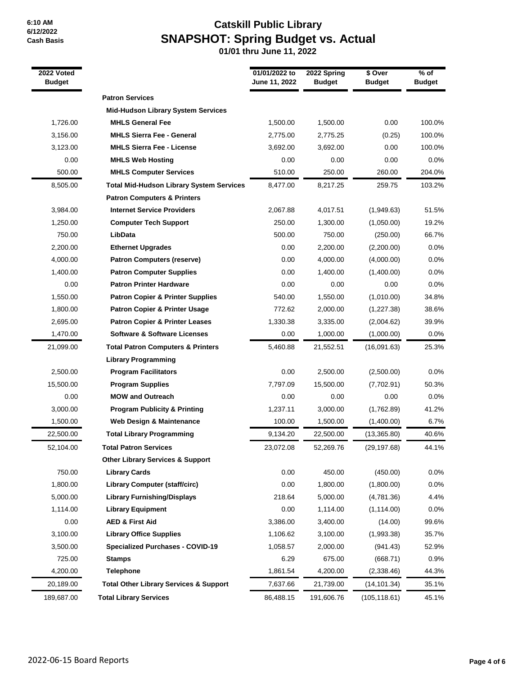# **Catskill Public Library SNAPSHOT: Spring Budget vs. Actual**

| 2022 Voted<br><b>Budget</b> |                                                   | 01/01/2022 to<br>June 11, 2022 | 2022 Spring<br><b>Budget</b> | \$ Over<br><b>Budget</b> | % of<br><b>Budget</b> |
|-----------------------------|---------------------------------------------------|--------------------------------|------------------------------|--------------------------|-----------------------|
|                             | <b>Patron Services</b>                            |                                |                              |                          |                       |
|                             | <b>Mid-Hudson Library System Services</b>         |                                |                              |                          |                       |
| 1,726.00                    | <b>MHLS General Fee</b>                           | 1,500.00                       | 1,500.00                     | 0.00                     | 100.0%                |
| 3,156.00                    | <b>MHLS Sierra Fee - General</b>                  | 2,775.00                       | 2,775.25                     | (0.25)                   | 100.0%                |
| 3,123.00                    | <b>MHLS Sierra Fee - License</b>                  | 3,692.00                       | 3,692.00                     | 0.00                     | 100.0%                |
| 0.00                        | <b>MHLS Web Hosting</b>                           | 0.00                           | 0.00                         | 0.00                     | 0.0%                  |
| 500.00                      | <b>MHLS Computer Services</b>                     | 510.00                         | 250.00                       | 260.00                   | 204.0%                |
| 8,505.00                    | <b>Total Mid-Hudson Library System Services</b>   | 8,477.00                       | 8,217.25                     | 259.75                   | 103.2%                |
|                             | <b>Patron Computers &amp; Printers</b>            |                                |                              |                          |                       |
| 3,984.00                    | <b>Internet Service Providers</b>                 | 2,067.88                       | 4,017.51                     | (1,949.63)               | 51.5%                 |
| 1,250.00                    | <b>Computer Tech Support</b>                      | 250.00                         | 1,300.00                     | (1,050.00)               | 19.2%                 |
| 750.00                      | LibData                                           | 500.00                         | 750.00                       | (250.00)                 | 66.7%                 |
| 2,200.00                    | <b>Ethernet Upgrades</b>                          | 0.00                           | 2,200.00                     | (2,200.00)               | 0.0%                  |
| 4,000.00                    | <b>Patron Computers (reserve)</b>                 | 0.00                           | 4,000.00                     | (4,000.00)               | 0.0%                  |
| 1,400.00                    | <b>Patron Computer Supplies</b>                   | 0.00                           | 1,400.00                     | (1,400.00)               | 0.0%                  |
| 0.00                        | <b>Patron Printer Hardware</b>                    | 0.00                           | 0.00                         | 0.00                     | 0.0%                  |
| 1,550.00                    | <b>Patron Copier &amp; Printer Supplies</b>       | 540.00                         | 1,550.00                     | (1,010.00)               | 34.8%                 |
| 1,800.00                    | <b>Patron Copier &amp; Printer Usage</b>          | 772.62                         | 2,000.00                     | (1, 227.38)              | 38.6%                 |
| 2,695.00                    | <b>Patron Copier &amp; Printer Leases</b>         | 1,330.38                       | 3,335.00                     | (2,004.62)               | 39.9%                 |
| 1,470.00                    | <b>Software &amp; Software Licenses</b>           | 0.00                           | 1,000.00                     | (1,000.00)               | 0.0%                  |
| 21,099.00                   | <b>Total Patron Computers &amp; Printers</b>      | 5,460.88                       | 21,552.51                    | (16,091.63)              | 25.3%                 |
|                             | <b>Library Programming</b>                        |                                |                              |                          |                       |
| 2,500.00                    | <b>Program Facilitators</b>                       | 0.00                           | 2,500.00                     | (2,500.00)               | 0.0%                  |
| 15,500.00                   | <b>Program Supplies</b>                           | 7,797.09                       | 15,500.00                    | (7,702.91)               | 50.3%                 |
| 0.00                        | <b>MOW and Outreach</b>                           | 0.00                           | 0.00                         | 0.00                     | 0.0%                  |
| 3,000.00                    | <b>Program Publicity &amp; Printing</b>           | 1,237.11                       | 3,000.00                     | (1,762.89)               | 41.2%                 |
| 1,500.00                    | Web Design & Maintenance                          | 100.00                         | 1,500.00                     | (1,400.00)               | 6.7%                  |
| 22,500.00                   | <b>Total Library Programming</b>                  | 9,134.20                       | 22,500.00                    | (13, 365.80)             | 40.6%                 |
| 52,104.00                   | Total Patron Services                             | 23,072.08                      | 52,269.76                    | (29, 197.68)             | 44.1%                 |
|                             | <b>Other Library Services &amp; Support</b>       |                                |                              |                          |                       |
| 750.00                      | <b>Library Cards</b>                              | 0.00                           | 450.00                       | (450.00)                 | 0.0%                  |
| 1,800.00                    | <b>Library Computer (staff/circ)</b>              | 0.00                           | 1,800.00                     | (1,800.00)               | 0.0%                  |
| 5,000.00                    | <b>Library Furnishing/Displays</b>                | 218.64                         | 5,000.00                     | (4,781.36)               | 4.4%                  |
| 1,114.00                    | <b>Library Equipment</b>                          | 0.00                           | 1,114.00                     | (1, 114.00)              | 0.0%                  |
| 0.00                        | <b>AED &amp; First Aid</b>                        | 3,386.00                       | 3,400.00                     | (14.00)                  | 99.6%                 |
| 3,100.00                    | <b>Library Office Supplies</b>                    | 1,106.62                       | 3,100.00                     | (1,993.38)               | 35.7%                 |
| 3,500.00                    | <b>Specialized Purchases - COVID-19</b>           | 1,058.57                       | 2,000.00                     | (941.43)                 | 52.9%                 |
| 725.00                      | <b>Stamps</b>                                     | 6.29                           | 675.00                       | (668.71)                 | 0.9%                  |
| 4,200.00                    | <b>Telephone</b>                                  | 1,861.54                       | 4,200.00                     | (2,338.46)               | 44.3%                 |
| 20,189.00                   | <b>Total Other Library Services &amp; Support</b> | 7,637.66                       | 21,739.00                    | (14, 101.34)             | 35.1%                 |
| 189,687.00                  | <b>Total Library Services</b>                     | 86,488.15                      | 191,606.76                   | (105, 118.61)            | 45.1%                 |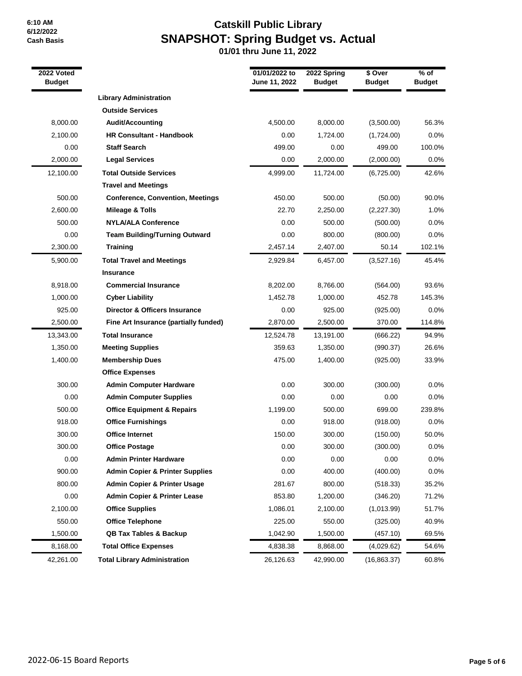# **Catskill Public Library SNAPSHOT: Spring Budget vs. Actual**

| $2022$ Voted<br><b>Budget</b> |                                            | 01/01/2022 to<br>June 11, 2022 | 2022 Spring<br><b>Budget</b> | \$ Over<br><b>Budget</b> | $%$ of<br><b>Budget</b> |
|-------------------------------|--------------------------------------------|--------------------------------|------------------------------|--------------------------|-------------------------|
|                               | <b>Library Administration</b>              |                                |                              |                          |                         |
|                               | <b>Outside Services</b>                    |                                |                              |                          |                         |
| 8,000.00                      | <b>Audit/Accounting</b>                    | 4,500.00                       | 8,000.00                     | (3,500.00)               | 56.3%                   |
| 2,100.00                      | <b>HR Consultant - Handbook</b>            | 0.00                           | 1,724.00                     | (1,724.00)               | 0.0%                    |
| 0.00                          | <b>Staff Search</b>                        | 499.00                         | 0.00                         | 499.00                   | 100.0%                  |
| 2,000.00                      | <b>Legal Services</b>                      | 0.00                           | 2,000.00                     | (2,000.00)               | 0.0%                    |
| 12,100.00                     | <b>Total Outside Services</b>              | 4,999.00                       | 11,724.00                    | (6,725.00)               | 42.6%                   |
|                               | <b>Travel and Meetings</b>                 |                                |                              |                          |                         |
| 500.00                        | <b>Conference, Convention, Meetings</b>    | 450.00                         | 500.00                       | (50.00)                  | 90.0%                   |
| 2,600.00                      | <b>Mileage &amp; Tolls</b>                 | 22.70                          | 2,250.00                     | (2,227.30)               | 1.0%                    |
| 500.00                        | <b>NYLA/ALA Conference</b>                 | 0.00                           | 500.00                       | (500.00)                 | $0.0\%$                 |
| 0.00                          | <b>Team Building/Turning Outward</b>       | 0.00                           | 800.00                       | (800.00)                 | 0.0%                    |
| 2,300.00                      | <b>Training</b>                            | 2,457.14                       | 2,407.00                     | 50.14                    | 102.1%                  |
| 5,900.00                      | <b>Total Travel and Meetings</b>           | 2,929.84                       | 6,457.00                     | (3,527.16)               | 45.4%                   |
|                               | <b>Insurance</b>                           |                                |                              |                          |                         |
| 8,918.00                      | <b>Commercial Insurance</b>                | 8,202.00                       | 8,766.00                     | (564.00)                 | 93.6%                   |
| 1,000.00                      | <b>Cyber Liability</b>                     | 1,452.78                       | 1,000.00                     | 452.78                   | 145.3%                  |
| 925.00                        | Director & Officers Insurance              | 0.00                           | 925.00                       | (925.00)                 | 0.0%                    |
| 2,500.00                      | Fine Art Insurance (partially funded)      | 2,870.00                       | 2,500.00                     | 370.00                   | 114.8%                  |
| 13,343.00                     | <b>Total Insurance</b>                     | 12,524.78                      | 13,191.00                    | (666.22)                 | 94.9%                   |
| 1,350.00                      | <b>Meeting Supplies</b>                    | 359.63                         | 1,350.00                     | (990.37)                 | 26.6%                   |
| 1,400.00                      | <b>Membership Dues</b>                     | 475.00                         | 1,400.00                     | (925.00)                 | 33.9%                   |
|                               | <b>Office Expenses</b>                     |                                |                              |                          |                         |
| 300.00                        | <b>Admin Computer Hardware</b>             | 0.00                           | 300.00                       | (300.00)                 | $0.0\%$                 |
| 0.00                          | <b>Admin Computer Supplies</b>             | 0.00                           | 0.00                         | 0.00                     | $0.0\%$                 |
| 500.00                        | <b>Office Equipment &amp; Repairs</b>      | 1,199.00                       | 500.00                       | 699.00                   | 239.8%                  |
| 918.00                        | <b>Office Furnishings</b>                  | 0.00                           | 918.00                       | (918.00)                 | 0.0%                    |
| 300.00                        | <b>Office Internet</b>                     | 150.00                         | 300.00                       | (150.00)                 | 50.0%                   |
| 300.00                        | <b>Office Postage</b>                      | 0.00                           | 300.00                       | (300.00)                 | 0.0%                    |
| 0.00                          | <b>Admin Printer Hardware</b>              | 0.00                           | 0.00                         | 0.00                     | $0.0\%$                 |
| 900.00                        | <b>Admin Copier &amp; Printer Supplies</b> | 0.00                           | 400.00                       | (400.00)                 | 0.0%                    |
| 800.00                        | <b>Admin Copier &amp; Printer Usage</b>    | 281.67                         | 800.00                       | (518.33)                 | 35.2%                   |
| 0.00                          | <b>Admin Copier &amp; Printer Lease</b>    | 853.80                         | 1,200.00                     | (346.20)                 | 71.2%                   |
| 2,100.00                      | <b>Office Supplies</b>                     | 1,086.01                       | 2,100.00                     | (1,013.99)               | 51.7%                   |
| 550.00                        | <b>Office Telephone</b>                    | 225.00                         | 550.00                       | (325.00)                 | 40.9%                   |
| 1,500.00                      | <b>QB Tax Tables &amp; Backup</b>          | 1,042.90                       | 1,500.00                     | (457.10)                 | 69.5%                   |
| 8,168.00                      | <b>Total Office Expenses</b>               | 4,838.38                       | 8,868.00                     | (4,029.62)               | 54.6%                   |
| 42,261.00                     | <b>Total Library Administration</b>        | 26,126.63                      | 42,990.00                    | (16,863.37)              | 60.8%                   |